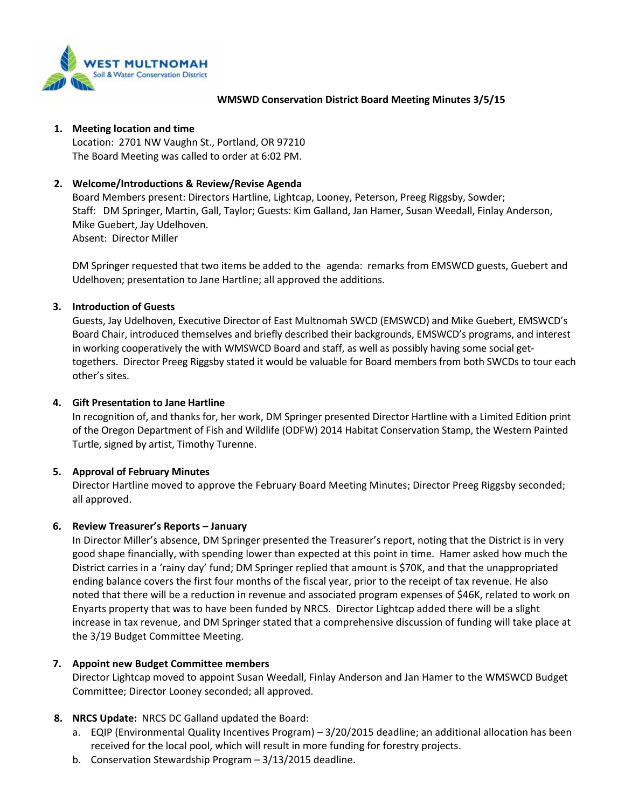

#### **WMSWD Conservation District Board Meeting Minutes 3/5/15**

#### **1. Meeting location and time**

Location: 2701 NW Vaughn St., Portland, OR 97210 The Board Meeting was called to order at 6:02 PM.

## **2. Welcome/Introductions & Review/Revise Agenda**

Board Members present: Directors Hartline, Lightcap, Looney, Peterson, Preeg Riggsby, Sowder; Staff: DM Springer, Martin, Gall, Taylor; Guests: Kim Galland, Jan Hamer, Susan Weedall, Finlay Anderson, Mike Guebert, Jay Udelhoven. Absent: Director Miller

DM Springer requested that two items be added to the agenda: remarks from EMSWCD guests, Guebert and Udelhoven; presentation to Jane Hartline; all approved the additions.

## **3. Introduction of Guests**

Guests, Jay Udelhoven, Executive Director of East Multnomah SWCD (EMSWCD) and Mike Guebert, EMSWCD's Board Chair, introduced themselves and briefly described their backgrounds, EMSWCD's programs, and interest in working cooperatively the with WMSWCD Board and staff, as well as possibly having some social gettogethers. Director Preeg Riggsby stated it would be valuable for Board members from both SWCDs to tour each other's sites.

#### **4. Gift Presentation to Jane Hartline**

In recognition of, and thanks for, her work, DM Springer presented Director Hartline with a Limited Edition print of the Oregon Department of Fish and Wildlife (ODFW) 2014 Habitat Conservation Stamp, the Western Painted Turtle, signed by artist, Timothy Turenne.

## **5. Approval of February Minutes**

Director Hartline moved to approve the February Board Meeting Minutes; Director Preeg Riggsby seconded; all approved.

## **6. Review Treasurer's Reports – January**

In Director Miller's absence, DM Springer presented the Treasurer's report, noting that the District is in very good shape financially, with spending lower than expected at this point in time. Hamer asked how much the District carries in a 'rainy day' fund; DM Springer replied that amount is \$70K, and that the unappropriated ending balance covers the first four months of the fiscal year, prior to the receipt of tax revenue. He also noted that there will be a reduction in revenue and associated program expenses of \$46K, related to work on Enyarts property that was to have been funded by NRCS. Director Lightcap added there will be a slight increase in tax revenue, and DM Springer stated that a comprehensive discussion of funding will take place at the 3/19 Budget Committee Meeting.

## **7. Appoint new Budget Committee members**

Director Lightcap moved to appoint Susan Weedall, Finlay Anderson and Jan Hamer to the WMSWCD Budget Committee; Director Looney seconded; all approved.

## **8. NRCS Update:** NRCS DC Galland updated the Board:

- a. EQIP (Environmental Quality Incentives Program) 3/20/2015 deadline; an additional allocation has been received for the local pool, which will result in more funding for forestry projects.
- b. Conservation Stewardship Program 3/13/2015 deadline.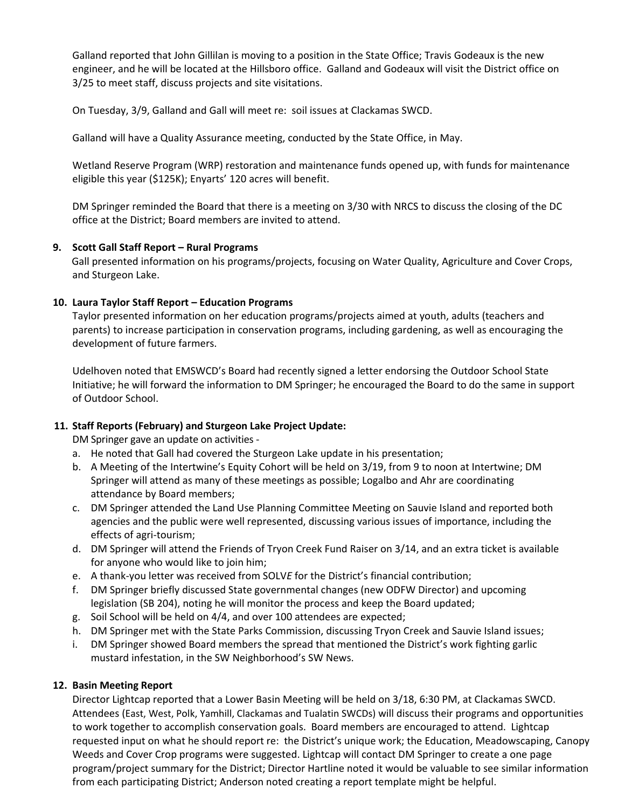Galland reported that John Gillilan is moving to a position in the State Office; Travis Godeaux is the new engineer, and he will be located at the Hillsboro office. Galland and Godeaux will visit the District office on 3/25 to meet staff, discuss projects and site visitations.

On Tuesday, 3/9, Galland and Gall will meet re: soil issues at Clackamas SWCD.

Galland will have a Quality Assurance meeting, conducted by the State Office, in May.

Wetland Reserve Program (WRP) restoration and maintenance funds opened up, with funds for maintenance eligible this year (\$125K); Enyarts' 120 acres will benefit.

DM Springer reminded the Board that there is a meeting on 3/30 with NRCS to discuss the closing of the DC office at the District; Board members are invited to attend.

## **9. Scott Gall Staff Report – Rural Programs**

 Gall presented information on his programs/projects, focusing on Water Quality, Agriculture and Cover Crops, and Sturgeon Lake.

## **10. Laura Taylor Staff Report – Education Programs**

Taylor presented information on her education programs/projects aimed at youth, adults (teachers and parents) to increase participation in conservation programs, including gardening, as well as encouraging the development of future farmers.

Udelhoven noted that EMSWCD's Board had recently signed a letter endorsing the Outdoor School State Initiative; he will forward the information to DM Springer; he encouraged the Board to do the same in support of Outdoor School.

# **11. Staff Reports (February) and Sturgeon Lake Project Update:**

DM Springer gave an update on activities -

- a. He noted that Gall had covered the Sturgeon Lake update in his presentation;
- b. A Meeting of the Intertwine's Equity Cohort will be held on 3/19, from 9 to noon at Intertwine; DM Springer will attend as many of these meetings as possible; Logalbo and Ahr are coordinating attendance by Board members;
- c. DM Springer attended the Land Use Planning Committee Meeting on Sauvie Island and reported both agencies and the public were well represented, discussing various issues of importance, including the effects of agri-tourism;
- d. DM Springer will attend the Friends of Tryon Creek Fund Raiser on 3/14, and an extra ticket is available for anyone who would like to join him;
- e. A thank-you letter was received from SOLV*E* for the District's financial contribution;
- f. DM Springer briefly discussed State governmental changes (new ODFW Director) and upcoming legislation (SB 204), noting he will monitor the process and keep the Board updated;
- g. Soil School will be held on 4/4, and over 100 attendees are expected;
- h. DM Springer met with the State Parks Commission, discussing Tryon Creek and Sauvie Island issues;
- i. DM Springer showed Board members the spread that mentioned the District's work fighting garlic mustard infestation, in the SW Neighborhood's SW News.

# **12. Basin Meeting Report**

Director Lightcap reported that a Lower Basin Meeting will be held on 3/18, 6:30 PM, at Clackamas SWCD. Attendees (East, West, Polk, Yamhill, Clackamas and Tualatin SWCDs) will discuss their programs and opportunities to work together to accomplish conservation goals. Board members are encouraged to attend. Lightcap requested input on what he should report re: the District's unique work; the Education, Meadowscaping, Canopy Weeds and Cover Crop programs were suggested. Lightcap will contact DM Springer to create a one page program/project summary for the District; Director Hartline noted it would be valuable to see similar information from each participating District; Anderson noted creating a report template might be helpful.